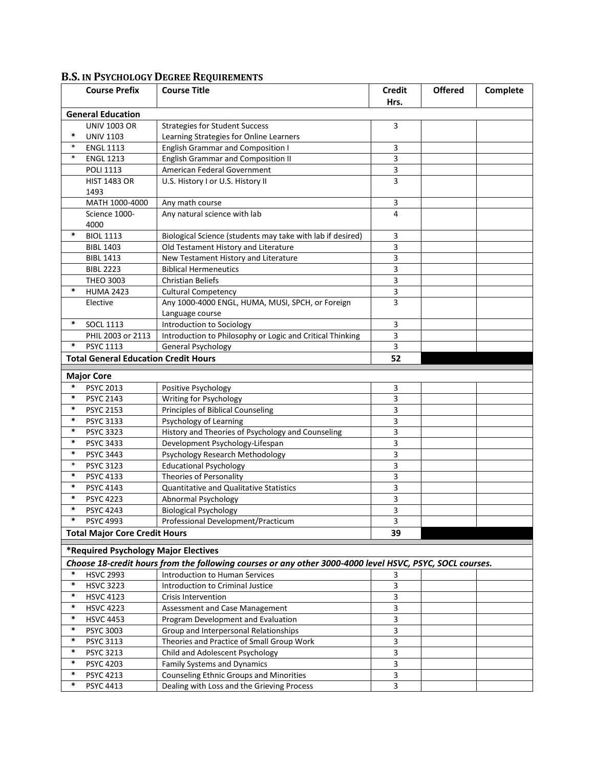|                                  | <b>Course Prefix</b>                        | <b>Course Title</b>                                                                                      | <b>Credit</b>           | <b>Offered</b> | Complete |  |  |  |  |
|----------------------------------|---------------------------------------------|----------------------------------------------------------------------------------------------------------|-------------------------|----------------|----------|--|--|--|--|
| Hrs.<br><b>General Education</b> |                                             |                                                                                                          |                         |                |          |  |  |  |  |
|                                  | <b>UNIV 1003 OR</b>                         | <b>Strategies for Student Success</b>                                                                    | 3                       |                |          |  |  |  |  |
| $\ast$                           | <b>UNIV 1103</b>                            | Learning Strategies for Online Learners                                                                  |                         |                |          |  |  |  |  |
| $\ast$                           | <b>ENGL 1113</b>                            | <b>English Grammar and Composition I</b>                                                                 | 3                       |                |          |  |  |  |  |
| $\ast$                           | <b>ENGL 1213</b>                            | <b>English Grammar and Composition II</b>                                                                | 3                       |                |          |  |  |  |  |
|                                  | <b>POLI 1113</b>                            | American Federal Government                                                                              | 3                       |                |          |  |  |  |  |
|                                  | <b>HIST 1483 OR</b>                         | U.S. History I or U.S. History II                                                                        | 3                       |                |          |  |  |  |  |
|                                  | 1493                                        |                                                                                                          |                         |                |          |  |  |  |  |
|                                  | MATH 1000-4000                              | Any math course                                                                                          | 3                       |                |          |  |  |  |  |
|                                  | Science 1000-                               | Any natural science with lab                                                                             | 4                       |                |          |  |  |  |  |
|                                  | 4000                                        |                                                                                                          |                         |                |          |  |  |  |  |
| $\ast$                           | <b>BIOL 1113</b>                            | Biological Science (students may take with lab if desired)                                               | 3                       |                |          |  |  |  |  |
|                                  | <b>BIBL 1403</b>                            | Old Testament History and Literature                                                                     | 3                       |                |          |  |  |  |  |
|                                  | <b>BIBL 1413</b>                            | New Testament History and Literature                                                                     | 3                       |                |          |  |  |  |  |
|                                  | <b>BIBL 2223</b>                            | <b>Biblical Hermeneutics</b>                                                                             | 3                       |                |          |  |  |  |  |
|                                  | <b>THEO 3003</b>                            | <b>Christian Beliefs</b>                                                                                 | 3                       |                |          |  |  |  |  |
| $\ast$                           | <b>HUMA 2423</b>                            | <b>Cultural Competency</b>                                                                               | 3                       |                |          |  |  |  |  |
|                                  | Elective                                    | Any 1000-4000 ENGL, HUMA, MUSI, SPCH, or Foreign                                                         | 3                       |                |          |  |  |  |  |
|                                  |                                             | Language course                                                                                          |                         |                |          |  |  |  |  |
| $\ast$                           | <b>SOCL 1113</b>                            | Introduction to Sociology                                                                                | 3                       |                |          |  |  |  |  |
|                                  | PHIL 2003 or 2113                           | Introduction to Philosophy or Logic and Critical Thinking                                                | 3                       |                |          |  |  |  |  |
| $\ast$                           | <b>PSYC 1113</b>                            | General Psychology                                                                                       | 3                       |                |          |  |  |  |  |
|                                  | <b>Total General Education Credit Hours</b> |                                                                                                          | 52                      |                |          |  |  |  |  |
|                                  |                                             |                                                                                                          |                         |                |          |  |  |  |  |
| $\ast$                           | <b>Major Core</b><br><b>PSYC 2013</b>       | Positive Psychology                                                                                      | 3                       |                |          |  |  |  |  |
| $\ast$                           | <b>PSYC 2143</b>                            | Writing for Psychology                                                                                   | 3                       |                |          |  |  |  |  |
| $\ast$                           | <b>PSYC 2153</b>                            | Principles of Biblical Counseling                                                                        | 3                       |                |          |  |  |  |  |
| $\ast$                           | <b>PSYC 3133</b>                            | Psychology of Learning                                                                                   | 3                       |                |          |  |  |  |  |
| $\ast$                           | <b>PSYC 3323</b>                            | History and Theories of Psychology and Counseling                                                        | 3                       |                |          |  |  |  |  |
| $\ast$                           | <b>PSYC 3433</b>                            | Development Psychology-Lifespan                                                                          | 3                       |                |          |  |  |  |  |
| $\ast$                           | PSYC 3443                                   | Psychology Research Methodology                                                                          | 3                       |                |          |  |  |  |  |
| $\ast$                           | <b>PSYC 3123</b>                            | <b>Educational Psychology</b>                                                                            | 3                       |                |          |  |  |  |  |
| $\ast$                           | PSYC 4133                                   | Theories of Personality                                                                                  | 3                       |                |          |  |  |  |  |
| $\ast$                           | PSYC 4143                                   | <b>Quantitative and Qualitative Statistics</b>                                                           | 3                       |                |          |  |  |  |  |
| $\ast$                           | <b>PSYC 4223</b>                            | Abnormal Psychology                                                                                      | 3                       |                |          |  |  |  |  |
| $\ast$                           | <b>PSYC 4243</b>                            | <b>Biological Psychology</b>                                                                             | 3                       |                |          |  |  |  |  |
|                                  | <b>PSYC 4993</b>                            | Professional Development/Practicum                                                                       | 3                       |                |          |  |  |  |  |
|                                  | <b>Total Major Core Credit Hours</b>        |                                                                                                          | 39                      |                |          |  |  |  |  |
|                                  |                                             |                                                                                                          |                         |                |          |  |  |  |  |
|                                  | *Required Psychology Major Electives        |                                                                                                          |                         |                |          |  |  |  |  |
|                                  |                                             | Choose 18-credit hours from the following courses or any other 3000-4000 level HSVC, PSYC, SOCL courses. |                         |                |          |  |  |  |  |
| $\ast$                           | <b>HSVC 2993</b>                            | Introduction to Human Services                                                                           | 3                       |                |          |  |  |  |  |
| $\ast$                           | <b>HSVC 3223</b>                            | Introduction to Criminal Justice                                                                         | 3                       |                |          |  |  |  |  |
| $\ast$                           | <b>HSVC 4123</b>                            | <b>Crisis Intervention</b>                                                                               | 3                       |                |          |  |  |  |  |
| $\ast$                           | <b>HSVC 4223</b>                            | Assessment and Case Management                                                                           | 3                       |                |          |  |  |  |  |
| $\ast$                           | <b>HSVC 4453</b>                            | Program Development and Evaluation                                                                       | 3                       |                |          |  |  |  |  |
| $\ast$                           | PSYC 3003                                   | Group and Interpersonal Relationships                                                                    | $\overline{\mathbf{3}}$ |                |          |  |  |  |  |
| $\ast$                           | <b>PSYC 3113</b>                            | Theories and Practice of Small Group Work                                                                | 3                       |                |          |  |  |  |  |
| $\ast$                           | PSYC 3213                                   | Child and Adolescent Psychology                                                                          | 3                       |                |          |  |  |  |  |
| $\ast$                           | PSYC 4203                                   | Family Systems and Dynamics                                                                              | 3                       |                |          |  |  |  |  |
| $\ast$                           | PSYC 4213                                   | Counseling Ethnic Groups and Minorities                                                                  | 3                       |                |          |  |  |  |  |
| $\ast$                           | PSYC 4413                                   | Dealing with Loss and the Grieving Process                                                               | 3                       |                |          |  |  |  |  |

## **B.S. IN PSYCHOLOGY DEGREE REQUIREMENTS**